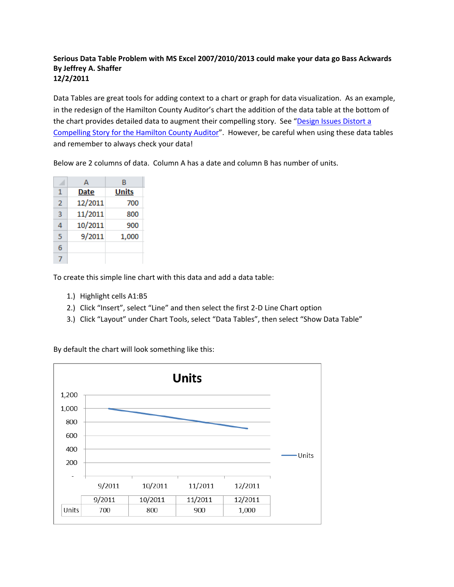## **Serious Data Table Problem with MS Excel 2007/2010/2013 could make your data go Bass Ackwards By Jeffrey A. Shaffer 12/2/2011**

Data Tables are great tools for adding context to a chart or graph for data visualization. As an example, in the redesign of the Hamilton County Auditor's chart the addition of the data table at the bottom of the chart provides detailed data to augment their compelling story. See "Design Issues Distort a [Compelling Story for the Hamilton County Auditor](http://makingdatameaningful.com/2011/11/17/design-issues-hamilton-county-auditor/)". However, be careful when using these data tables and remember to always check your data!

|   | А           | В            |  |  |  |  |
|---|-------------|--------------|--|--|--|--|
| 1 | <b>Date</b> | <b>Units</b> |  |  |  |  |
| 2 | 12/2011     | 700          |  |  |  |  |
| 3 | 11/2011     | 800          |  |  |  |  |
| 4 | 10/2011     | 900          |  |  |  |  |
| 5 | 9/2011      | 1,000        |  |  |  |  |
| 6 |             |              |  |  |  |  |
|   |             |              |  |  |  |  |

Below are 2 columns of data. Column A has a date and column B has number of units.

To create this simple line chart with this data and add a data table:

- 1.) Highlight cells A1:B5
- 2.) Click "Insert", select "Line" and then select the first 2-D Line Chart option
- 3.) Click "Layout" under Chart Tools, select "Data Tables", then select "Show Data Table"

By default the chart will look something like this:

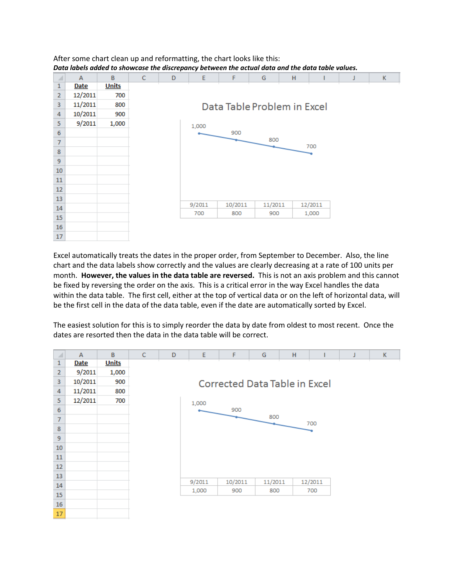$\sf{B}$  $\mathsf A$ C D E G H K F J  $\,1\,$ **Date Units**  $\overline{2}$ 12/2011 700 3 11/2011 800 Data Table Problem in Excel 4 10/2011 900 5  $9/2011$ 1,000 1,000 6 900 800  $\bar{7}$ 700 8 9 10  $11$ 12 13 9/2011 10/2011 11/2011 12/2011 14 700 800 900 1,000 15 16

After some chart clean up and reformatting, the chart looks like this: *Data labels added to showcase the discrepancy between the actual data and the data table values.*

Excel automatically treats the dates in the proper order, from September to December. Also, the line chart and the data labels show correctly and the values are clearly decreasing at a rate of 100 units per month. **However, the values in the data table are reversed.** This is not an axis problem and this cannot be fixed by reversing the order on the axis. This is a critical error in the way Excel handles the data within the data table. The first cell, either at the top of vertical data or on the left of horizontal data, will be the first cell in the data of the data table, even if the date are automatically sorted by Excel.

 $17\,$ 

The easiest solution for this is to simply reorder the data by date from oldest to most recent. Once the dates are resorted then the data in the data table will be correct.

| ×                       | $\overline{A}$ | B            | $\mathsf{C}$ | D | E      | F                                    | G       | H |         |  |
|-------------------------|----------------|--------------|--------------|---|--------|--------------------------------------|---------|---|---------|--|
| 1                       | <b>Date</b>    | <b>Units</b> |              |   |        |                                      |         |   |         |  |
| $\overline{2}$          | 9/2011         | 1,000        |              |   |        |                                      |         |   |         |  |
| $\overline{\mathbf{3}}$ | 10/2011        | 900          |              |   |        | <b>Corrected Data Table in Excel</b> |         |   |         |  |
| 4                       | 11/2011        | 800          |              |   |        |                                      |         |   |         |  |
| 5                       | 12/2011        | 700          |              |   | 1,000  |                                      |         |   |         |  |
| 6                       |                |              |              |   |        | 900                                  |         |   |         |  |
| $\overline{7}$          |                |              |              |   |        |                                      | 800     |   | 700     |  |
| 8                       |                |              |              |   |        |                                      |         |   |         |  |
| $\overline{9}$          |                |              |              |   |        |                                      |         |   |         |  |
| 10                      |                |              |              |   |        |                                      |         |   |         |  |
| $11\,$                  |                |              |              |   |        |                                      |         |   |         |  |
| 12                      |                |              |              |   |        |                                      |         |   |         |  |
| 13                      |                |              |              |   |        |                                      |         |   |         |  |
| 14                      |                |              |              |   | 9/2011 | 10/2011                              | 11/2011 |   | 12/2011 |  |
| 15                      |                |              |              |   | 1,000  | 900                                  | 800     |   | 700     |  |
| 16                      |                |              |              |   |        |                                      |         |   |         |  |
| 17                      |                |              |              |   |        |                                      |         |   |         |  |